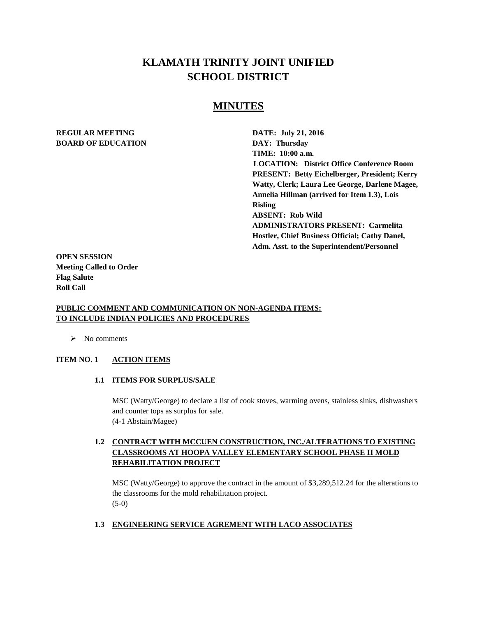# **KLAMATH TRINITY JOINT UNIFIED SCHOOL DISTRICT**

## **MINUTES**

#### **REGULAR MEETING DATE: July 21, 2016 BOARD OF EDUCATION DAY: Thursday**

**TIME: 10:00 a.m. LOCATION: District Office Conference Room PRESENT: Betty Eichelberger, President; Kerry Watty, Clerk; Laura Lee George, Darlene Magee, Annelia Hillman (arrived for Item 1.3), Lois Risling ABSENT: Rob Wild ADMINISTRATORS PRESENT: Carmelita Hostler, Chief Business Official; Cathy Danel, Adm. Asst. to the Superintendent/Personnel** 

**OPEN SESSION Meeting Called to Order Flag Salute Roll Call**

#### **PUBLIC COMMENT AND COMMUNICATION ON NON-AGENDA ITEMS: TO INCLUDE INDIAN POLICIES AND PROCEDURES**

 $\triangleright$  No comments

#### **ITEM NO. 1 ACTION ITEMS**

**1.1 ITEMS FOR SURPLUS/SALE**

MSC (Watty/George) to declare a list of cook stoves, warming ovens, stainless sinks, dishwashers and counter tops as surplus for sale. (4-1 Abstain/Magee)

## **1.2 CONTRACT WITH MCCUEN CONSTRUCTION, INC./ALTERATIONS TO EXISTING CLASSROOMS AT HOOPA VALLEY ELEMENTARY SCHOOL PHASE II MOLD REHABILITATION PROJECT**

MSC (Watty/George) to approve the contract in the amount of \$3,289,512.24 for the alterations to the classrooms for the mold rehabilitation project. (5-0)

#### **1.3 ENGINEERING SERVICE AGREMENT WITH LACO ASSOCIATES**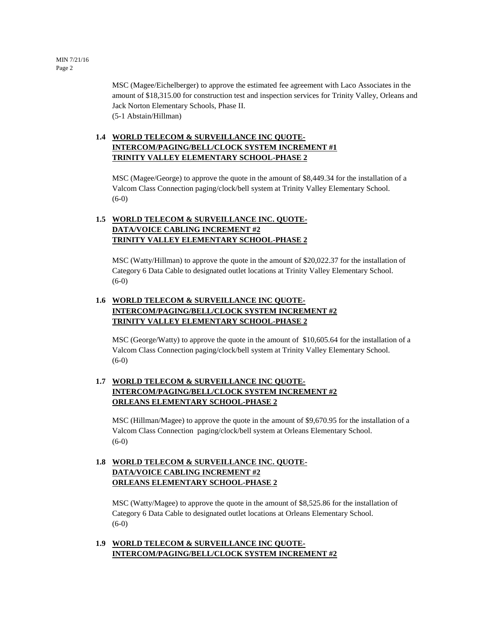MSC (Magee/Eichelberger) to approve the estimated fee agreement with Laco Associates in the amount of \$18,315.00 for construction test and inspection services for Trinity Valley, Orleans and Jack Norton Elementary Schools, Phase II. (5-1 Abstain/Hillman)

## **1.4 WORLD TELECOM & SURVEILLANCE INC QUOTE-INTERCOM/PAGING/BELL/CLOCK SYSTEM INCREMENT #1 TRINITY VALLEY ELEMENTARY SCHOOL-PHASE 2**

MSC (Magee/George) to approve the quote in the amount of \$8,449.34 for the installation of a Valcom Class Connection paging/clock/bell system at Trinity Valley Elementary School.  $(6-0)$ 

## **1.5 WORLD TELECOM & SURVEILLANCE INC. QUOTE-DATA/VOICE CABLING INCREMENT #2 TRINITY VALLEY ELEMENTARY SCHOOL-PHASE 2**

MSC (Watty/Hillman) to approve the quote in the amount of \$20,022.37 for the installation of Category 6 Data Cable to designated outlet locations at Trinity Valley Elementary School. (6-0)

## **1.6 WORLD TELECOM & SURVEILLANCE INC QUOTE-INTERCOM/PAGING/BELL/CLOCK SYSTEM INCREMENT #2 TRINITY VALLEY ELEMENTARY SCHOOL-PHASE 2**

MSC (George/Watty) to approve the quote in the amount of \$10,605.64 for the installation of a Valcom Class Connection paging/clock/bell system at Trinity Valley Elementary School. (6-0)

## **1.7 WORLD TELECOM & SURVEILLANCE INC QUOTE-INTERCOM/PAGING/BELL/CLOCK SYSTEM INCREMENT #2 ORLEANS ELEMENTARY SCHOOL-PHASE 2**

MSC (Hillman/Magee) to approve the quote in the amount of \$9,670.95 for the installation of a Valcom Class Connection paging/clock/bell system at Orleans Elementary School. (6-0)

## **1.8 WORLD TELECOM & SURVEILLANCE INC. QUOTE-DATA/VOICE CABLING INCREMENT #2 ORLEANS ELEMENTARY SCHOOL-PHASE 2**

MSC (Watty/Magee) to approve the quote in the amount of \$8,525.86 for the installation of Category 6 Data Cable to designated outlet locations at Orleans Elementary School. (6-0)

#### **1.9 WORLD TELECOM & SURVEILLANCE INC QUOTE-INTERCOM/PAGING/BELL/CLOCK SYSTEM INCREMENT #2**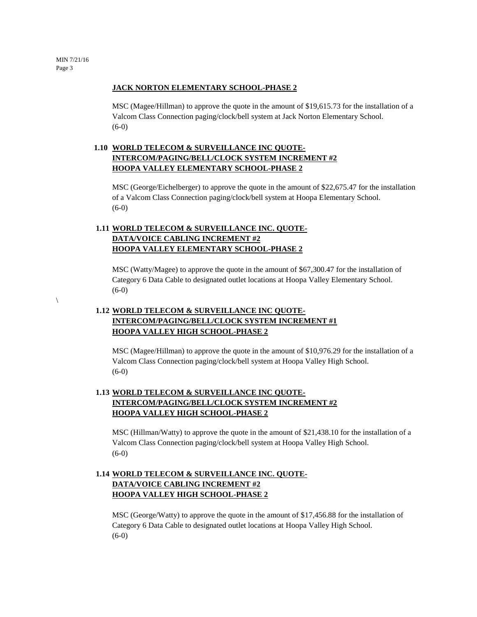$\setminus$ 

#### **JACK NORTON ELEMENTARY SCHOOL-PHASE 2**

MSC (Magee/Hillman) to approve the quote in the amount of \$19,615.73 for the installation of a Valcom Class Connection paging/clock/bell system at Jack Norton Elementary School. (6-0)

## **1.10 WORLD TELECOM & SURVEILLANCE INC QUOTE-INTERCOM/PAGING/BELL/CLOCK SYSTEM INCREMENT #2 HOOPA VALLEY ELEMENTARY SCHOOL-PHASE 2**

MSC (George/Eichelberger) to approve the quote in the amount of \$22,675.47 for the installation of a Valcom Class Connection paging/clock/bell system at Hoopa Elementary School.  $(6-0)$ 

#### **1.11 WORLD TELECOM & SURVEILLANCE INC. QUOTE-DATA/VOICE CABLING INCREMENT #2 HOOPA VALLEY ELEMENTARY SCHOOL-PHASE 2**

MSC (Watty/Magee) to approve the quote in the amount of \$67,300.47 for the installation of Category 6 Data Cable to designated outlet locations at Hoopa Valley Elementary School. (6-0)

## **1.12 WORLD TELECOM & SURVEILLANCE INC QUOTE-INTERCOM/PAGING/BELL/CLOCK SYSTEM INCREMENT #1 HOOPA VALLEY HIGH SCHOOL-PHASE 2**

MSC (Magee/Hillman) to approve the quote in the amount of \$10,976.29 for the installation of a Valcom Class Connection paging/clock/bell system at Hoopa Valley High School. (6-0)

#### **1.13 WORLD TELECOM & SURVEILLANCE INC QUOTE-INTERCOM/PAGING/BELL/CLOCK SYSTEM INCREMENT #2 HOOPA VALLEY HIGH SCHOOL-PHASE 2**

MSC (Hillman/Watty) to approve the quote in the amount of \$21,438.10 for the installation of a Valcom Class Connection paging/clock/bell system at Hoopa Valley High School. (6-0)

## **1.14 WORLD TELECOM & SURVEILLANCE INC. QUOTE-DATA/VOICE CABLING INCREMENT #2 HOOPA VALLEY HIGH SCHOOL-PHASE 2**

MSC (George/Watty) to approve the quote in the amount of \$17,456.88 for the installation of Category 6 Data Cable to designated outlet locations at Hoopa Valley High School. (6-0)